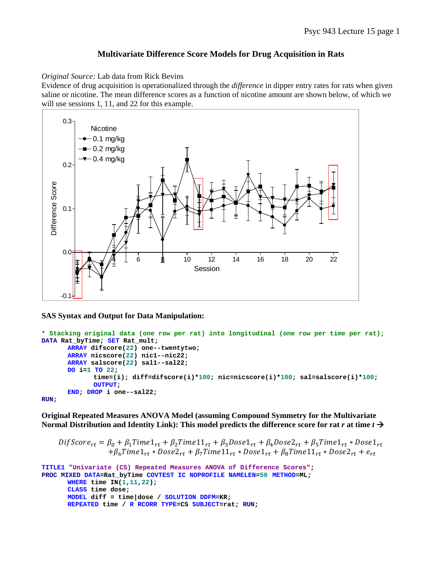## **Multivariate Difference Score Models for Drug Acquisition in Rats**

*Original Source:* Lab data from Rick Bevins

Evidence of drug acquisition is operationalized through the *difference* in dipper entry rates for rats when given saline or nicotine. The mean difference scores as a function of nicotine amount are shown below, of which we will use sessions 1, 11, and 22 for this example.



## **SAS Syntax and Output for Data Manipulation:**

```
* Stacking original data (one row per rat) into longitudinal (one row per time per rat);
DATA Rat_byTime; SET Rat_mult; 
      ARRAY difscore(22) one--twentytwo; 
      ARRAY nicscore(22) nic1--nic22; 
      ARRAY salscore(22) sal1--sal22; 
      DO i=1 TO 22; 
               time=(i); diff=difscore(i)*100; nic=nicscore(i)*100; sal=salscore(i)*100; 
             OUTPUT; 
       END; DROP i one--sal22; 
RUN;
```
**Original Repeated Measures ANOVA Model (assuming Compound Symmetry for the Multivariate Normal Distribution and Identity Link): This model predicts the difference score for rat**  $r$  **at time**  $t \rightarrow$ 

```
DiffScore_{rt} = \beta_0 + \beta_1 Time1_{rt} + \beta_2 Time11_{rt} + \beta_3 Does1_{rt} + \beta_4 Does2_{rt} + \beta_5 Time1_{rt} * Does1_{rt}+ \beta_6Time1_{rt} * Dose2_{rt} + \beta_7Time11_{rt} * Dose1_{rt} + \beta_8Time11_{rt} * Dose2_{rt} + e_{rt}
```

```
TITLE1 "Univariate (CS) Repeated Measures ANOVA of Difference Scores"; 
PROC MIXED DATA=Rat_byTime COVTEST IC NOPROFILE NAMELEN=50 METHOD=ML; 
      WHERE time IN(1,11,22); 
      CLASS time dose; 
      MODEL diff = time|dose / SOLUTION DDFM=KR; 
      REPEATED time / R RCORR TYPE=CS SUBJECT=rat; RUN;
```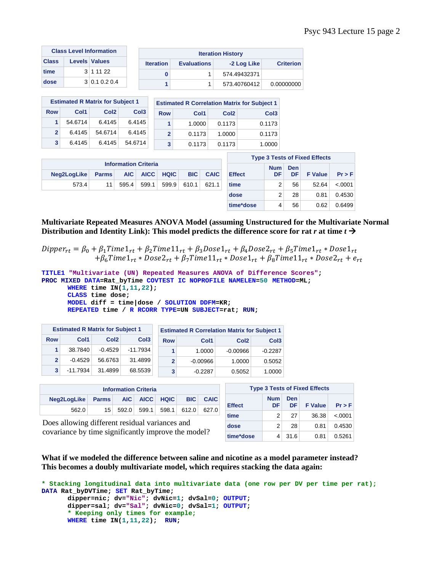|              | <b>Class Level Information</b> | <b>Iteration History</b> |                    |              |                  |
|--------------|--------------------------------|--------------------------|--------------------|--------------|------------------|
| <b>Class</b> | <b>Levels Values</b>           | <b>Iteration</b>         | <b>Evaluations</b> | -2 Log Like  | <b>Criterion</b> |
| time         | 3 1 1 1 2 2                    |                          |                    | 574.49432371 |                  |
| dose         | $3 \mid 0.1 \; 0.2 \; 0.4$     |                          |                    | 573.40760412 | 0.00000000       |

| <b>Estimated R Matrix for Subject 1</b> |         |                  |                  |  |  |  |  |  |
|-----------------------------------------|---------|------------------|------------------|--|--|--|--|--|
| <b>Row</b>                              | Col1    | Col <sub>2</sub> | Col <sub>3</sub> |  |  |  |  |  |
| 1                                       | 54.6714 | 6.4145           | 6.4145           |  |  |  |  |  |
| $\mathbf{c}$                            | 6.4145  | 54.6714          | 6.4145           |  |  |  |  |  |
| 3                                       | 6.4145  | 6.4145           | 54.6714          |  |  |  |  |  |

| <b>Estimated R Correlation Matrix for Subject 1</b> |        |                  |                  |  |  |  |  |  |
|-----------------------------------------------------|--------|------------------|------------------|--|--|--|--|--|
| <b>Row</b>                                          | Col1   | Col <sub>2</sub> | Col <sub>3</sub> |  |  |  |  |  |
| 1                                                   | 1.0000 | 0.1173           | 0.1173           |  |  |  |  |  |
| $\mathbf{c}$                                        | 0.1173 | 1.0000           | 0.1173           |  |  |  |  |  |
| 3                                                   | 0.1173 | 0.1173           | 1.0000           |  |  |  |  |  |

| <b>Information Criteria</b>              |                 |  |  |                               |  |  |  |
|------------------------------------------|-----------------|--|--|-------------------------------|--|--|--|
| Neg2LogLike Parms AIC AICC HQIC BIC CAIC |                 |  |  |                               |  |  |  |
| 573.4                                    | 11 <sup>1</sup> |  |  | 595.4 599.1 599.9 610.1 621.1 |  |  |  |

| <b>Type 3 Tests of Fixed Effects</b> |                  |           |                |          |  |  |  |  |  |
|--------------------------------------|------------------|-----------|----------------|----------|--|--|--|--|--|
| <b>Effect</b>                        | <b>Num</b><br>DF | Den<br>DF | <b>F</b> Value | $Pr$ > F |  |  |  |  |  |
| time                                 | 2                | 56        | 52.64          | $-.0001$ |  |  |  |  |  |
| dose                                 | 2                | 28        | 0.81           | 0.4530   |  |  |  |  |  |
| time*dose                            | 4                | 56        | 0.62           | 0.6499   |  |  |  |  |  |

**Multivariate Repeated Measures ANOVA Model (assuming Unstructured for the Multivariate Normal Distribution and Identity Link): This model predicts the difference score for rat**  $r$  **at time**  $t \rightarrow$ 

 $Dipper_{rt} = \beta_0 + \beta_1 Time1_{rt} + \beta_2 Time11_{rt} + \beta_3 Does1_{rt} + \beta_4 Does2_{rt} + \beta_5 Time1_{rt} * Does1_{rt}$  $+ \beta_6$ Time $1_{rt} * Dose2_{rt} + \beta_7$ Time $11_{rt} * Dose1_{rt} + \beta_8$ Time $11_{rt} * Dose2_{rt} + e_{rt}$ 

```
TITLE1 "Multivariate (UN) Repeated Measures ANOVA of Difference Scores"; 
PROC MIXED DATA=Rat_byTime COVTEST IC NOPROFILE NAMELEN=50 METHOD=ML; 
      WHERE time IN(1,11,22); 
      CLASS time dose; 
      MODEL diff = time|dose / SOLUTION DDFM=KR; 
      REPEATED time / R RCORR TYPE=UN SUBJECT=rat; RUN;
```

| <b>Estimated R Matrix for Subject 1</b> |            |                  |                  |            | <b>Estimated R Correlation Matrix for Subject 1</b> |                  |                  |
|-----------------------------------------|------------|------------------|------------------|------------|-----------------------------------------------------|------------------|------------------|
| <b>Row</b>                              | Col1       | Col <sub>2</sub> | Col <sub>3</sub> | <b>Row</b> | Col1                                                | Col <sub>2</sub> | Col <sub>3</sub> |
|                                         | 38.7840    | $-0.4529$        | $-11.7934$       |            | 1.0000                                              | $-0.00966$       | $-0.2287$        |
| $\mathbf{2}$                            | $-0.4529$  | 56.6763          | 31.4899          | 2          | $-0.00966$                                          | 1.0000           | 0.5052           |
| 3                                       | $-11.7934$ | 31.4899          | 68.5539          | 3          | $-0.2287$                                           | 0.5052           | 1.0000           |

| <b>Information Criteria</b>                        |                 |  |  |                         |  |       |  |
|----------------------------------------------------|-----------------|--|--|-------------------------|--|-------|--|
| Neg2LogLike Parms AIC AICC HQIC<br><b>BIC CAIC</b> |                 |  |  |                         |  |       |  |
| 562.0                                              | 15 <sup>1</sup> |  |  | 592.0 599.1 598.1 612.0 |  | 627.0 |  |

Does allowing different residual variances and covariance by time significantly improve the model?

| <b>Type 3 Tests of Fixed Effects</b> |                  |            |                |          |  |  |  |  |  |
|--------------------------------------|------------------|------------|----------------|----------|--|--|--|--|--|
| <b>Effect</b>                        | <b>Num</b><br>DF | Den<br>DF. | <b>F</b> Value | $Pr$ > F |  |  |  |  |  |
| time                                 | 2                | 27         | 36.38          | < .0001  |  |  |  |  |  |
| dose                                 | 2                | 28         | 0.81           | 0.4530   |  |  |  |  |  |
| time*dose                            |                  | 31.6       | 0.81           | 0.5261   |  |  |  |  |  |

**What if we modeled the difference between saline and nicotine as a model parameter instead? This becomes a doubly multivariate model, which requires stacking the data again:** 

```
* Stacking longitudinal data into multivariate data (one row per DV per time per rat);
DATA Rat_byDVTime; SET Rat_byTime; 
       dipper=nic; dv="Nic"; dvNic=1; dvSal=0; OUTPUT; 
       dipper=sal; dv="Sal"; dvNic=0; dvSal=1; OUTPUT; 
      * Keeping only times for example;
      WHERE time IN(1,11,22); RUN;
```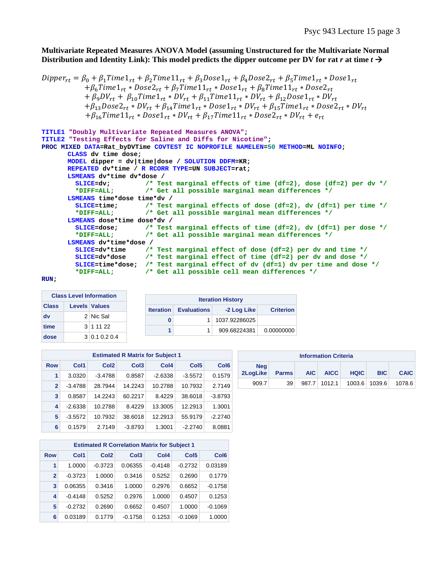**Multivariate Repeated Measures ANOVA Model (assuming Unstructured for the Multivariate Normal**  Distribution and Identity Link): This model predicts the dipper outcome per DV for rat  $r$  at time  $t \rightarrow$ 

```
Dipper_{rt} = \beta_0 + \beta_1 Time1_{rt} + \beta_2 Time11_{rt} + \beta_3 Does1_{rt} + \beta_4 Does2_{rt} + \beta_5 Time1_{rt} * Does1_{rt}+ \beta_6Time1_{rt} * Dose2_{rt} + \beta_7Time11_{rt} * Dose1_{rt} + \beta_8Time11_{rt} * Dose2_{rt}+\beta_9DV_{rt} + \beta_{10}Time1_{rt} * DV_{rt} + \beta_{11}Time11_{rt} * DV_{rt} + \beta_{12}Dose1_{rt} * DV_{rt}+\beta_{13}Dose2_{rt} * DV_{rt} + \beta_{14}Time1_{rt} * Dose1_{rt} * DV_{rt} + \beta_{15}Time1_{rt} * Dose2_{rt} * DV_{rt}+ \beta_{16}Time11_{rt} * Dose1_{rt} * DV_{rt} + \beta_{17}Time11_{rt} * Dose2_{rt} * DV_{rt} + e_{rt}
```

```
TITLE1 "Doubly Multivariate Repeated Measures ANOVA"; 
TITLE2 "Testing Effects for Saline and Diffs for Nicotine"; 
PROC MIXED DATA=Rat_byDVTime COVTEST IC NOPROFILE NAMELEN=50 METHOD=ML NOINFO; 
      CLASS dv time dose; 
      MODEL dipper = dv|time|dose / SOLUTION DDFM=KR; 
      REPEATED dv*time / R RCORR TYPE=UN SUBJECT=rat; 
      LSMEANS dv*time dv*dose / 
         SLICE=dv; /* Test marginal effects of time (df=2), dose (df=2) per dv */
                         /* Get all possible marginal mean differences */
      LSMEANS time*dose time*dv / 
         SLICE=time; /* Test marginal effects of dose (df=2), dv (df=1) per time */
         *DIFF=ALL; /* Get all possible marginal mean differences */
      LSMEANS dose*time dose*dv / 
         SLICE=dose; /* Test marginal effects of time (df=2), dv (df=1) per dose */
         *DIFF=ALL; /* Get all possible marginal mean differences */
      LSMEANS dv*time*dose / 
         SLICE=dv*time /* Test marginal effect of dose (df=2) per dv and time */
         SLICE=dv*dose /* Test marginal effect of time (df=2) per dv and dose */
         SLICE=time*dose; /* Test marginal effect of dv (df=1) dv per time and dose */
         *DIFF=ALL; /* Get all possible cell mean differences */
```
**RUN;** 

|              |  | <b>Class Level Information</b> |                  |                    | <b>Iteration History</b> |                  |
|--------------|--|--------------------------------|------------------|--------------------|--------------------------|------------------|
| <b>Class</b> |  | <b>Levels Values</b>           | <b>Iteration</b> | <b>Evaluations</b> | -2 Log Like              | <b>Criterion</b> |
| dv           |  | 2 Nic Sal                      |                  |                    | 1037.92286025            |                  |
| time         |  | $3 \mid 11122$                 |                  |                    | 909.68224381             | 0.00000000       |
| dose         |  | $3 \mid 0.1 \; 0.2 \; 0.4$     |                  |                    |                          |                  |

| <b>Estimated R Matrix for Subject 1</b> |              |           |                  |                  |                  |                  |                  |  |  |
|-----------------------------------------|--------------|-----------|------------------|------------------|------------------|------------------|------------------|--|--|
|                                         | <b>Row</b>   | Col1      | Col <sub>2</sub> | Col <sub>3</sub> | Col <sub>4</sub> | Col <sub>5</sub> | Col <sub>6</sub> |  |  |
|                                         | 1            | 3.0320    | $-3.4788$        | 0.8587           | $-2.6338$        | $-3.5572$        | 0.1579           |  |  |
|                                         | $\mathbf{2}$ | $-3.4788$ | 28.7944          | 14.2243          | 10.2788          | 10.7932          | 2.7149           |  |  |
|                                         | 3            | 0.8587    | 14.2243          | 60.2217          | 8.4229           | 38.6018          | $-3.8793$        |  |  |
|                                         | 4            | $-2.6338$ | 10.2788          | 8.4229           | 13.3005          | 12.2913          | 1.3001           |  |  |
|                                         | 5            | $-3.5572$ | 10.7932          | 38.6018          | 12.2913          | 55.9179          | $-2.2740$        |  |  |
|                                         | 6            | 0.1579    | 2.7149           | $-3.8793$        | 1.3001           | $-2.2740$        | 8.0881           |  |  |

| <b>Information Criteria</b> |              |       |             |                                           |            |             |  |  |
|-----------------------------|--------------|-------|-------------|-------------------------------------------|------------|-------------|--|--|
| <b>Neg</b><br>2LogLike      | <b>Parms</b> | AIC I | <b>AICC</b> | <b>HQIC</b>                               | <b>BIC</b> | <b>CAIC</b> |  |  |
| 909.7                       | 39           |       |             | 987.7   1012.1   1003.6   1039.6   1078.6 |            |             |  |  |

|                | <b>Estimated R Correlation Matrix for Subject 1</b> |                  |                  |           |           |           |  |  |  |  |  |
|----------------|-----------------------------------------------------|------------------|------------------|-----------|-----------|-----------|--|--|--|--|--|
| <b>Row</b>     | Col1                                                | Col <sub>5</sub> | Col <sub>6</sub> |           |           |           |  |  |  |  |  |
| 1              | 1.0000                                              | $-0.3723$        | 0.06355          | $-0.4148$ | $-0.2732$ | 0.03189   |  |  |  |  |  |
| $\overline{2}$ | $-0.3723$                                           | 1.0000           | 0.3416           | 0.5252    | 0.2690    | 0.1779    |  |  |  |  |  |
| 3              | 0.06355                                             | 0.3416           | 1.0000           | 0.2976    | 0.6652    | $-0.1758$ |  |  |  |  |  |
| 4              | $-0.4148$                                           | 0.5252           | 0.2976           | 1.0000    | 0.4507    | 0.1253    |  |  |  |  |  |
| 5              | $-0.2732$                                           | 0.2690           | 0.6652           | 0.4507    | 1.0000    | $-0.1069$ |  |  |  |  |  |
| 6              | 0.03189                                             | 0.1779           | $-0.1758$        | 0.1253    | $-0.1069$ | 1.0000    |  |  |  |  |  |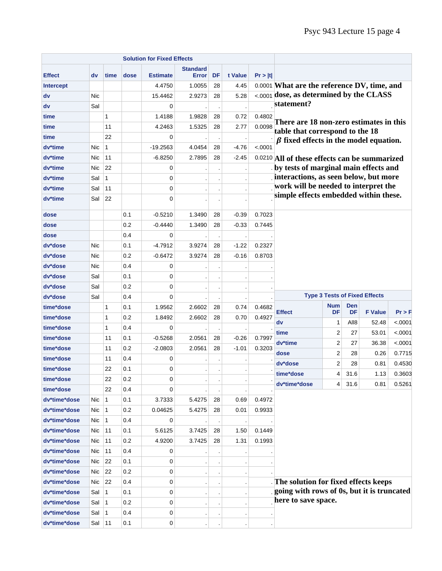|                  |            |              |      |                 | <b>Standard</b> |    |              |                  |                                                                                        |                  |                  |                                      |          |
|------------------|------------|--------------|------|-----------------|-----------------|----|--------------|------------------|----------------------------------------------------------------------------------------|------------------|------------------|--------------------------------------|----------|
| <b>Effect</b>    | dv         | time         | dose | <b>Estimate</b> | <b>Error</b>    | DF | t Value      | Pr >  t          |                                                                                        |                  |                  |                                      |          |
| <b>Intercept</b> |            |              |      | 4.4750          | 1.0055          | 28 | 4.45         |                  | 0.0001 What are the reference DV, time, and<br><.0001 dose, as determined by the CLASS |                  |                  |                                      |          |
| dv               | Nic        |              |      | 15.4462         | 2.9273          | 28 | 5.28         |                  | statement?                                                                             |                  |                  |                                      |          |
| dv               | Sal        | $\mathbf{1}$ |      | 0<br>1.4188     | 1.9828          | 28 |              |                  |                                                                                        |                  |                  |                                      |          |
| time<br>time     |            | 11           |      | 4.2463          | 1.5325          | 28 | 0.72<br>2.77 | 0.4802<br>0.0098 | There are 18 non-zero estimates in this                                                |                  |                  |                                      |          |
| time             |            | 22           |      | 0               |                 |    |              |                  | table that correspond to the 18                                                        |                  |                  |                                      |          |
| dv*time          | <b>Nic</b> | $\mathbf{1}$ |      | $-19.2563$      | 4.0454          | 28 | $-4.76$      | < .0001          | $\beta$ fixed effects in the model equation.                                           |                  |                  |                                      |          |
| dv*time          | Nic        | 11           |      | $-6.8250$       | 2.7895          | 28 | $-2.45$      |                  |                                                                                        |                  |                  |                                      |          |
| dv*time          | <b>Nic</b> | 22           |      | 0               |                 |    |              |                  | 0.0210 All of these effects can be summarized<br>by tests of marginal main effects and |                  |                  |                                      |          |
| dv*time          | Sal        | $\mathbf{1}$ |      | 0               |                 |    |              |                  | interactions, as seen below, but more                                                  |                  |                  |                                      |          |
| dv*time          | Sal        | 11           |      | $\mathbf 0$     |                 |    |              |                  | work will be needed to interpret the                                                   |                  |                  |                                      |          |
| dv*time          | Sal        | 22           |      | $\mathbf 0$     |                 |    |              |                  | simple effects embedded within these.                                                  |                  |                  |                                      |          |
|                  |            |              |      |                 |                 |    |              |                  |                                                                                        |                  |                  |                                      |          |
| dose             |            |              | 0.1  | $-0.5210$       | 1.3490          | 28 | $-0.39$      | 0.7023           |                                                                                        |                  |                  |                                      |          |
| dose             |            |              | 0.2  | $-0.4440$       | 1.3490          | 28 | $-0.33$      | 0.7445           |                                                                                        |                  |                  |                                      |          |
| dose             |            |              | 0.4  | 0               |                 |    |              |                  |                                                                                        |                  |                  |                                      |          |
| dv*dose          | <b>Nic</b> |              | 0.1  | $-4.7912$       | 3.9274          | 28 | $-1.22$      | 0.2327           |                                                                                        |                  |                  |                                      |          |
| dv*dose          | <b>Nic</b> |              | 0.2  | $-0.6472$       | 3.9274          | 28 | $-0.16$      | 0.8703           |                                                                                        |                  |                  |                                      |          |
| dv*dose          | <b>Nic</b> |              | 0.4  | 0               |                 |    |              |                  |                                                                                        |                  |                  |                                      |          |
| dv*dose          | Sal        |              | 0.1  | 0               |                 |    |              |                  |                                                                                        |                  |                  |                                      |          |
| dv*dose          | Sal        |              | 0.2  | 0               |                 |    |              |                  |                                                                                        |                  |                  |                                      |          |
| dv*dose          | Sal        |              | 0.4  | 0               |                 |    |              |                  |                                                                                        |                  |                  | <b>Type 3 Tests of Fixed Effects</b> |          |
| time*dose        |            | $\mathbf{1}$ | 0.1  | 1.9562          | 2.6602          | 28 | 0.74         | 0.4682           | <b>Effect</b>                                                                          | <b>Num</b><br>DF | <b>Den</b><br>DF | <b>F</b> Value                       | $Pr$ > F |
| time*dose        |            | $\mathbf{1}$ | 0.2  | 1.8492          | 2.6602          | 28 | 0.70         | 0.4927           | dv                                                                                     | 1                | All8             | 52.48                                | < .0001  |
| time*dose        |            | $\mathbf{1}$ | 0.4  | 0               |                 |    |              |                  | time                                                                                   | $\overline{2}$   | 27               | 53.01                                | < .0001  |
| time*dose        |            | 11           | 0.1  | $-0.5268$       | 2.0561          | 28 | $-0.26$      | 0.7997           | dv*time                                                                                | $\overline{2}$   | 27               | 36.38                                | < .0001  |
| time*dose        |            | 11           | 0.2  | $-2.0803$       | 2.0561          | 28 | $-1.01$      | 0.3203           |                                                                                        | $\overline{2}$   | 28               | 0.26                                 | 0.7715   |
| time*dose        |            | 11           | 0.4  | 0               |                 |    |              |                  | dose<br>dv*dose                                                                        | $\overline{2}$   | 28               | 0.81                                 | 0.4530   |
| time*dose        |            | 22           | 0.1  | 0               |                 |    |              |                  |                                                                                        | 4                | 31.6             |                                      |          |
| time*dose        |            | 22           | 0.2  | 0               |                 |    |              |                  | time*dose                                                                              |                  |                  | 1.13                                 | 0.3603   |
| time*dose        |            | 22           | 0.4  | 0               |                 |    |              |                  | dv*time*dose                                                                           | 4                | 31.6             | 0.81                                 | 0.5261   |
| dv*time*dose     | Nic        | 1            | 0.1  | 3.7333          | 5.4275          | 28 | 0.69         | 0.4972           |                                                                                        |                  |                  |                                      |          |
| dv*time*dose     | Nic        | 1            | 0.2  | 0.04625         | 5.4275          | 28 | 0.01         | 0.9933           |                                                                                        |                  |                  |                                      |          |
| dv*time*dose     | Nic        | 1            | 0.4  | 0               |                 |    |              |                  |                                                                                        |                  |                  |                                      |          |
| dv*time*dose     | Nic        | 11           | 0.1  | 5.6125          | 3.7425          | 28 | 1.50         | 0.1449           |                                                                                        |                  |                  |                                      |          |
| dv*time*dose     | Nic        | 11           | 0.2  | 4.9200          | 3.7425          | 28 | 1.31         | 0.1993           |                                                                                        |                  |                  |                                      |          |
| dv*time*dose     | Nic        | 11           | 0.4  | 0               |                 |    |              |                  |                                                                                        |                  |                  |                                      |          |
| dv*time*dose     | Nic        | 22           | 0.1  | 0               |                 |    |              |                  |                                                                                        |                  |                  |                                      |          |
| dv*time*dose     | Nic        | 22           | 0.2  | 0               |                 |    |              |                  |                                                                                        |                  |                  |                                      |          |
| dv*time*dose     | Nic        | 22           | 0.4  | 0               |                 |    |              |                  | . The solution for fixed effects keeps                                                 |                  |                  |                                      |          |
| dv*time*dose     | Sal        | 1            | 0.1  | 0               |                 |    |              |                  | going with rows of 0s, but it is truncated                                             |                  |                  |                                      |          |
| dv*time*dose     | Sal        | 1            | 0.2  | 0               |                 |    |              |                  | here to save space.                                                                    |                  |                  |                                      |          |
| dv*time*dose     | Sal        | $\mathbf{1}$ | 0.4  | 0               |                 |    |              |                  |                                                                                        |                  |                  |                                      |          |
| dv*time*dose     | Sal        | 11           | 0.1  | 0               |                 |    |              |                  |                                                                                        |                  |                  |                                      |          |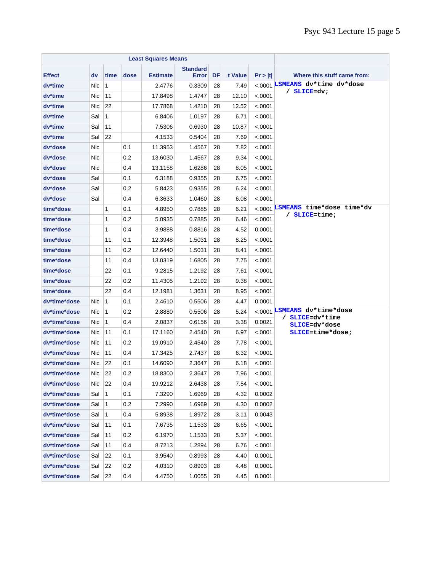| <b>Least Squares Means</b> |            |              |      |                 |                                 |    |         |          |                                                |  |  |  |
|----------------------------|------------|--------------|------|-----------------|---------------------------------|----|---------|----------|------------------------------------------------|--|--|--|
| <b>Effect</b>              | dv         | time         | dose | <b>Estimate</b> | <b>Standard</b><br><b>Error</b> | DF | t Value | Pr >  t  | Where this stuff came from:                    |  |  |  |
| dv*time                    | Nic        | $\mathbf{1}$ |      | 2.4776          | 0.3309                          | 28 | 7.49    |          | <.0001 LSMEANS dv*time dv*dose                 |  |  |  |
| dv*time                    | Nic.       | 11           |      | 17.8498         | 1.4747                          | 28 | 12.10   | <.0001   | / SLICE=dv;                                    |  |  |  |
| dv*time                    | Nic        | 22           |      | 17.7868         | 1.4210                          | 28 | 12.52   | < .0001  |                                                |  |  |  |
| dv*time                    | Sal        | $\mathbf{1}$ |      | 6.8406          | 1.0197                          | 28 | 6.71    | < .0001  |                                                |  |  |  |
| dv*time                    | Sal        | 11           |      | 7.5306          | 0.6930                          | 28 | 10.87   | <.0001   |                                                |  |  |  |
| dv*time                    | Sal        | 22           |      | 4.1533          | 0.5404                          | 28 | 7.69    | < .0001  |                                                |  |  |  |
| dv*dose                    | Nic        |              | 0.1  | 11.3953         | 1.4567                          | 28 | 7.82    | < .0001  |                                                |  |  |  |
| dv*dose                    | Nic        |              | 0.2  | 13.6030         | 1.4567                          | 28 | 9.34    | <.0001   |                                                |  |  |  |
| dv*dose                    | Nic        |              | 0.4  | 13.1158         | 1.6286                          | 28 | 8.05    | < .0001  |                                                |  |  |  |
| dv*dose                    | Sal        |              | 0.1  | 6.3188          | 0.9355                          | 28 | 6.75    | < .0001  |                                                |  |  |  |
| dv*dose                    | Sal        |              | 0.2  | 5.8423          | 0.9355                          | 28 | 6.24    | < .0001  |                                                |  |  |  |
| dv*dose                    | Sal        |              | 0.4  | 6.3633          | 1.0460                          | 28 | 6.08    | < .0001  |                                                |  |  |  |
| time*dose                  |            | 1            | 0.1  | 4.8950          | 0.7885                          | 28 | 6.21    |          | <.0001 LSMEANS time*dose time*dv               |  |  |  |
| time*dose                  |            | 1            | 0.2  | 5.0935          | 0.7885                          | 28 | 6.46    | $-.0001$ | $/$ SLICE=time;                                |  |  |  |
| time*dose                  |            | 1            | 0.4  | 3.9888          | 0.8816                          | 28 | 4.52    | 0.0001   |                                                |  |  |  |
| time*dose                  |            | 11           | 0.1  | 12.3948         | 1.5031                          | 28 | 8.25    | < .0001  |                                                |  |  |  |
| time*dose                  |            | 11           | 0.2  | 12.6440         | 1.5031                          | 28 | 8.41    | < .0001  |                                                |  |  |  |
| time*dose                  |            | 11           | 0.4  | 13.0319         | 1.6805                          | 28 | 7.75    | <.0001   |                                                |  |  |  |
| time*dose                  |            | 22           | 0.1  | 9.2815          | 1.2192                          | 28 | 7.61    | <.0001   |                                                |  |  |  |
| time*dose                  |            | 22           | 0.2  | 11.4305         | 1.2192                          | 28 | 9.38    | < .0001  |                                                |  |  |  |
| time*dose                  |            | 22           | 0.4  | 12.1981         | 1.3631                          | 28 | 8.95    | < .0001  |                                                |  |  |  |
| dv*time*dose               | Nic.       | $\mathbf{1}$ | 0.1  | 2.4610          | 0.5506                          | 28 | 4.47    | 0.0001   |                                                |  |  |  |
| dv*time*dose               | Nic        | $\mathbf{1}$ | 0.2  | 2.8880          | 0.5506                          | 28 | 5.24    |          | <.0001 LSMEANS dv*time*dose<br>/ SLICE=dv*time |  |  |  |
| dv*time*dose               | <b>Nic</b> | $\mathbf{1}$ | 0.4  | 2.0837          | 0.6156                          | 28 | 3.38    | 0.0021   | SLICE=dv*dose                                  |  |  |  |
| dv*time*dose               | Nic        | 11           | 0.1  | 17.1160         | 2.4540                          | 28 | 6.97    | < .0001  | SLICE=time*dose;                               |  |  |  |
| dv*time*dose               | Nic.       | 11           | 0.2  | 19.0910         | 2.4540                          | 28 | 7.78    | < .0001  |                                                |  |  |  |
| dv*time*dose               | Nic        | 11           | 0.4  | 17.3425         | 2.7437                          | 28 | 6.32    | < .0001  |                                                |  |  |  |
| dv*time*dose               | Nic.       | 22           | 0.1  | 14.6090         | 2.3647                          | 28 | 6.18    | < .0001  |                                                |  |  |  |
| dv*time*dose               | Nic        | 22           | 0.2  | 18.8300         | 2.3647                          | 28 | 7.96    | < .0001  |                                                |  |  |  |
| dv*time*dose               | Nic        | 22           | 0.4  | 19.9212         | 2.6438                          | 28 | 7.54    | < .0001  |                                                |  |  |  |
| dv*time*dose               | Sal        | $\mathbf{1}$ | 0.1  | 7.3290          | 1.6969                          | 28 | 4.32    | 0.0002   |                                                |  |  |  |
| dv*time*dose               | Sal        | $\mathbf 1$  | 0.2  | 7.2990          | 1.6969                          | 28 | 4.30    | 0.0002   |                                                |  |  |  |
| dv*time*dose               | Sal        | $\mathbf{1}$ | 0.4  | 5.8938          | 1.8972                          | 28 | 3.11    | 0.0043   |                                                |  |  |  |
| dv*time*dose               | Sal        | 11           | 0.1  | 7.6735          | 1.1533                          | 28 | 6.65    | <.0001   |                                                |  |  |  |
| dv*time*dose               | Sal        | 11           | 0.2  | 6.1970          | 1.1533                          | 28 | 5.37    | <.0001   |                                                |  |  |  |
| dv*time*dose               | Sal        | 11           | 0.4  | 8.7213          | 1.2894                          | 28 | 6.76    | <.0001   |                                                |  |  |  |
| dv*time*dose               | Sal        | 22           | 0.1  | 3.9540          | 0.8993                          | 28 | 4.40    | 0.0001   |                                                |  |  |  |
| dv*time*dose               | Sal        | 22           | 0.2  | 4.0310          | 0.8993                          | 28 | 4.48    | 0.0001   |                                                |  |  |  |
| dv*time*dose               | Sal        | 22           | 0.4  | 4.4750          | 1.0055                          | 28 | 4.45    | 0.0001   |                                                |  |  |  |